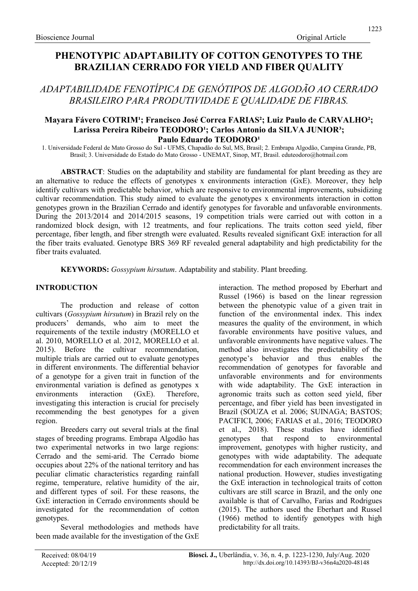# PHENOTYPIC ADAPTABILITY OF COTTON GENOTYPES TO THE BRAZILIAN CERRADO FOR YIELD AND FIBER QUALITY

# ADAPTABILIDADE FENOTÍPICA DE GENÓTIPOS DE ALGODÃO AO CERRADO BRASILEIRO PARA PRODUTIVIDADE E QUALIDADE DE FIBRAS.

# Mayara Fávero COTRIM<sup>1</sup>; Francisco José Correa FARIAS<sup>2</sup>; Luiz Paulo de CARVALHO<sup>2</sup>; Larissa Pereira Ribeiro TEODORO<sup>1</sup>; Carlos Antonio da SILVA JUNIOR<sup>3</sup>; Paulo Eduardo TEODORO<sup>1</sup>

1. Universidade Federal de Mato Grosso do Sul - UFMS, Chapadão do Sul, MS, Brasil; 2. Embrapa Algodão, Campina Grande, PB, Brasil; 3. Universidade do Estado do Mato Grosso - UNEMAT, Sinop, MT, Brasil. eduteodoro@hotmail.com

ABSTRACT: Studies on the adaptability and stability are fundamental for plant breeding as they are an alternative to reduce the effects of genotypes x environments interaction (GxE). Moreover, they help identify cultivars with predictable behavior, which are responsive to environmental improvements, subsidizing cultivar recommendation. This study aimed to evaluate the genotypes x environments interaction in cotton genotypes grown in the Brazilian Cerrado and identify genotypes for favorable and unfavorable environments. During the 2013/2014 and 2014/2015 seasons, 19 competition trials were carried out with cotton in a randomized block design, with 12 treatments, and four replications. The traits cotton seed yield, fiber percentage, fiber length, and fiber strength were evaluated. Results revealed significant GxE interaction for all the fiber traits evaluated. Genotype BRS 369 RF revealed general adaptability and high predictability for the fiber traits evaluated.

KEYWORDS: Gossypium hirsutum. Adaptability and stability. Plant breeding.

# INTRODUCTION

The production and release of cotton cultivars (Gossypium hirsutum) in Brazil rely on the producers' demands, who aim to meet the requirements of the textile industry (MORELLO et al. 2010, MORELLO et al. 2012, MORELLO et al. 2015). Before the cultivar recommendation, multiple trials are carried out to evaluate genotypes in different environments. The differential behavior of a genotype for a given trait in function of the environmental variation is defined as genotypes x environments interaction (GxE). Therefore, investigating this interaction is crucial for precisely recommending the best genotypes for a given region.

Breeders carry out several trials at the final stages of breeding programs. Embrapa Algodão has two experimental networks in two large regions: Cerrado and the semi-arid. The Cerrado biome occupies about 22% of the national territory and has peculiar climatic characteristics regarding rainfall regime, temperature, relative humidity of the air, and different types of soil. For these reasons, the GxE interaction in Cerrado environments should be investigated for the recommendation of cotton genotypes.

Several methodologies and methods have been made available for the investigation of the GxE interaction. The method proposed by Eberhart and Russel (1966) is based on the linear regression between the phenotypic value of a given trait in function of the environmental index. This index measures the quality of the environment, in which favorable environments have positive values, and unfavorable environments have negative values. The method also investigates the predictability of the genotype's behavior and thus enables the recommendation of genotypes for favorable and unfavorable environments and for environments with wide adaptability. The GxE interaction in agronomic traits such as cotton seed yield, fiber percentage, and fiber yield has been investigated in Brazil (SOUZA et al. 2006; SUINAGA; BASTOS; PACIFICI, 2006; FARIAS et al., 2016; TEODORO et al., 2018). These studies have identified genotypes that respond to environmental improvement, genotypes with higher rusticity, and genotypes with wide adaptability. The adequate recommendation for each environment increases the national production. However, studies investigating the GxE interaction in technological traits of cotton cultivars are still scarce in Brazil, and the only one available is that of Carvalho, Farias and Rodrigues (2015). The authors used the Eberhart and Russel (1966) method to identify genotypes with high predictability for all traits.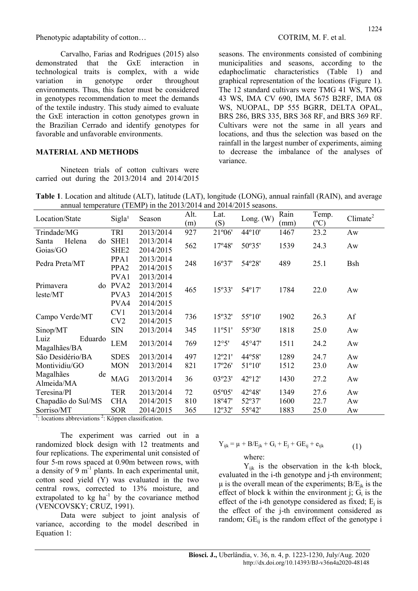Carvalho, Farias and Rodrigues (2015) also demonstrated that the GxE interaction in technological traits is complex, with a wide variation in genotype order throughout environments. Thus, this factor must be considered in genotypes recommendation to meet the demands of the textile industry. This study aimed to evaluate the GxE interaction in cotton genotypes grown in the Brazilian Cerrado and identify genotypes for favorable and unfavorable environments.

# MATERIAL AND METHODS

Nineteen trials of cotton cultivars were carried out during the 2013/2014 and 2014/2015

seasons. The environments consisted of combining municipalities and seasons, according to the edaphoclimatic characteristics (Table 1) and graphical representation of the locations (Figure 1). The 12 standard cultivars were TMG 41 WS, TMG 43 WS, IMA CV 690, IMA 5675 B2RF, IMA 08 WS, NUOPAL, DP 555 BGRR, DELTA OPAL, BRS 286, BRS 335, BRS 368 RF, and BRS 369 RF. Cultivars were not the same in all years and locations, and thus the selection was based on the rainfall in the largest number of experiments, aiming to decrease the imbalance of the analyses of variance.

Table 1. Location and altitude (ALT), latitude (LAT), longitude (LONG), annual rainfall (RAIN), and average annual temperature (TEMP) in the 2013/2014 and 2014/2015 seasons.

| Location/State                  | $\cdots$ $\cdots$ $\cdots$<br>Sigla <sup>1</sup> | Season    | Alt.<br>(m) | Lat.<br>(S)     | Long. $(W)$ | Rain<br>(mm) | Temp.<br>$(^{\circ}C)$ | Climate <sup>2</sup> |
|---------------------------------|--------------------------------------------------|-----------|-------------|-----------------|-------------|--------------|------------------------|----------------------|
| Trindade/MG                     | TRI                                              | 2013/2014 | 927         | $21^{\circ}06'$ | 44°10'      | 1467         | 23.2                   | Aw                   |
| Helena<br>do<br>Santa           | SHE1                                             | 2013/2014 | 562         | 17°48'          | 50°35'      | 1539         | 24.3                   | Aw                   |
| Goias/GO                        | SHE <sub>2</sub>                                 | 2014/2015 |             |                 |             |              |                        |                      |
| Pedra Preta/MT                  | PPA1                                             | 2013/2014 | 248         | 16°37'          | 54°28'      | 489          | 25.1                   | <b>B</b> sh          |
|                                 | PPA <sub>2</sub>                                 | 2014/2015 |             |                 |             |              |                        |                      |
|                                 | PVA1                                             | 2013/2014 |             |                 |             |              |                        |                      |
| Primavera<br>do                 | PVA <sub>2</sub>                                 | 2013/2014 | 465         | 15°33'          | 54°17'      | 1784         | 22.0                   | Aw                   |
| leste/MT                        | PVA3                                             | 2014/2015 |             |                 |             |              |                        |                      |
|                                 | PVA4                                             | 2014/2015 |             |                 |             |              |                        |                      |
| Campo Verde/MT                  | CV1                                              | 2013/2014 | 736         | 15°32'          | 55°10'      | 1902         | 26.3                   | Af                   |
|                                 | CV2                                              | 2014/2015 |             |                 |             |              |                        |                      |
| Sinop/MT                        | <b>SIN</b>                                       | 2013/2014 | 345         | 11°51'          | 55°30'      | 1818         | 25.0                   | Aw                   |
| Eduardo<br>Luiz<br>Magalhães/BA | <b>LEM</b>                                       | 2013/2014 | 769         | 12°5'           | 45°47'      | 1511         | 24.2                   | Aw                   |
| São Desidério/BA                | <b>SDES</b>                                      | 2013/2014 | 497         | 12°21'          | 44°58'      | 1289         | 24.7                   | Aw                   |
| Montividiu/GO                   | <b>MON</b>                                       | 2013/2014 | 821         | 17°26'          | 51°10'      | 1512         | 23.0                   | Aw                   |
| Magalhães<br>de<br>Almeida/MA   | <b>MAG</b>                                       | 2013/2014 | 36          | 03°23'          | 42°12'      | 1430         | 27.2                   | Aw                   |
| Teresina/PI                     | <b>TER</b>                                       | 2013/2014 | 72          | $05^{\circ}05'$ | 42°48'      | 1349         | 27.6                   | Aw                   |
| Chapadão do Sul/MS              | <b>CHA</b>                                       | 2014/2015 | 810         | 18°47'          | 52°37'      | 1600         | 22.7                   | Aw                   |
| Sorriso/MT                      | <b>SOR</b>                                       | 2014/2015 | 365         | 12°32'          | 55°42'      | 1883         | 25.0                   | Aw                   |

 $\frac{1}{1}$ : locations abbreviations  $\frac{2}{1}$ : Köppen classification.

The experiment was carried out in a randomized block design with 12 treatments and four replications. The experimental unit consisted of four 5-m rows spaced at 0.90m between rows, with a density of 9  $m^{-1}$  plants. In each experimental unit, cotton seed yield (Y) was evaluated in the two central rows, corrected to 13% moisture, and extrapolated to  $kg$  ha<sup>-1</sup> by the covariance method (VENCOVSKY; CRUZ, 1991).

Data were subject to joint analysis of variance, according to the model described in Equation 1:

$$
Y_{ijk} = \mu + B/E_{jk} + G_i + E_j + GE_{ij} + e_{ijk}
$$
\nwhere:

\n
$$
(1)
$$

 $Y_{ijk}$  is the observation in the k-th block, evaluated in the i-th genotype and j-th environment; μ is the overall mean of the experiments;  $B/E<sub>ik</sub>$  is the effect of block k within the environment j;  $G_i$  is the effect of the i-th genotype considered as fixed;  $E_i$  is the effect of the j-th environment considered as random;  $GE_{ii}$  is the random effect of the genotype i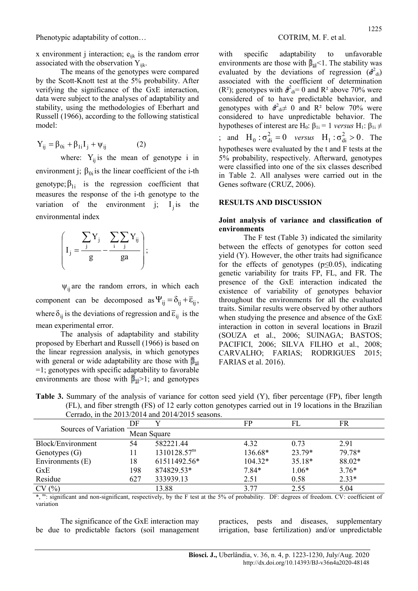x environment j interaction;  $e_{ijk}$  is the random error associated with the observation  $Y_{ijk}$ .

The means of the genotypes were compared by the Scott-Knott test at the 5% probability. After verifying the significance of the GxE interaction, data were subject to the analyses of adaptability and stability, using the methodologies of Eberhart and Russell (1966), according to the following statistical model:

$$
Y_{ij} = \beta_{0i} + \beta_{1i} I_j + \psi_{ij}
$$
 (2)

where:  $Y_{ii}$  is the mean of genotype i in environment j;  $\beta_{0i}$  is the linear coefficient of the i-th genotype;  $\beta_{1i}$  is the regression coefficient that measures the response of the i-th genotype to the variation of the environment j;  $I_j$  is the environmental index



 $\psi_{ii}$  are the random errors, in which each component can be decomposed as  $\Psi_{ii} = \delta_{ii} + \overline{\epsilon}_{ii}$ , where  $\delta_{ij}$  is the deviations of regression and  $\overline{\epsilon}_{ij}$  is the mean experimental error.

The analysis of adaptability and stability proposed by Eberhart and Russell (1966) is based on the linear regression analysis, in which genotypes with general or wide adaptability are those with  $\beta_{1i}$ =1; genotypes with specific adaptability to favorable environments are those with  $\beta_{1i}$  > 1; and genotypes

with specific adaptability to unfavorable environments are those with  $\hat{\beta}_{1i}$  < 1. The stability was evaluated by the deviations of regression  $(\hat{\sigma}_{di})$ associated with the coefficient of determination (R<sup>2</sup>); genotypes with  $\hat{\sigma}_{di}^2 = 0$  and R<sup>2</sup> above 70% were considered of to have predictable behavior, and genotypes with  $\hat{\sigma}_{di}^2 \neq 0$  and R<sup>2</sup> below 70% were considered to have unpredictable behavior. The hypotheses of interest are H<sub>0</sub>:  $β_{1i} = 1$  *versus* H<sub>1</sub>:  $β_{1i} \neq$ ; and  $H_0: \sigma_{di}^2 = 0$  versus  $H_1: \sigma_{di}^2 > 0$ . The hypotheses were evaluated by the t and F tests at the 5% probability, respectively. Afterward, genotypes were classified into one of the six classes described in Table 2. All analyses were carried out in the Genes software (CRUZ, 2006).

### RESULTS AND DISCUSSION

### Joint analysis of variance and classification of environments

The F test (Table 3) indicated the similarity between the effects of genotypes for cotton seed yield (Y). However, the other traits had significance for the effects of genotypes ( $p \le 0.05$ ), indicating genetic variability for traits FP, FL, and FR. The presence of the GxE interaction indicated the existence of variability of genotypes behavior throughout the environments for all the evaluated traits. Similar results were observed by other authors when studying the presence and absence of the GxE interaction in cotton in several locations in Brazil (SOUZA et al., 2006; SUINAGA; BASTOS; PACIFICI, 2006; SILVA FILHO et al., 2008; CARVALHO; FARIAS; RODRIGUES 2015; FARIAS et al. 2016).

| Table 3. Summary of the analysis of variance for cotton seed yield (Y), fiber percentage (FP), fiber length |
|-------------------------------------------------------------------------------------------------------------|
| (FL), and fiber strength (FS) of 12 early cotton genotypes carried out in 19 locations in the Brazilian     |
| Cerrado, in the $2013/2014$ and $2014/2015$ seasons.                                                        |

|                      |     | $\sim$ corructed, in the 2019/2011 under 2011/2019 between. |           |         |         |  |  |
|----------------------|-----|-------------------------------------------------------------|-----------|---------|---------|--|--|
|                      | DF  |                                                             | FP        | FL      | FR      |  |  |
| Sources of Variation |     | Mean Square                                                 |           |         |         |  |  |
| Block/Environment    | 54  | 582221.44                                                   | 4.32      | 0.73    | 2.91    |  |  |
| Genotypes $(G)$      |     | 1310128.57 <sup>ns</sup>                                    | 136.68*   | 23.79*  | 79.78*  |  |  |
| Environments (E)     | 18  | 61511492.56*                                                | $104.32*$ | 35.18*  | 88.02*  |  |  |
| <b>GxE</b>           | 198 | 874829.53*                                                  | $7.84*$   | $1.06*$ | $3.76*$ |  |  |
| Residue              | 627 | 333939.13                                                   | 2.51      | 0.58    | $2.33*$ |  |  |
| CV(%)                |     | 13.88                                                       | 3.77      | 2.55    | 5.04    |  |  |

\*, ns: significant and non-significant, respectively, by the F test at the 5% of probability. DF: degrees of freedom. CV: coefficient of variation

The significance of the GxE interaction may be due to predictable factors (soil management practices, pests and diseases, supplementary irrigation, base fertilization) and/or unpredictable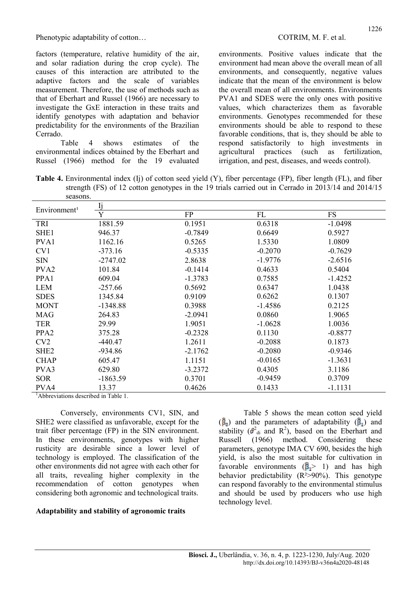factors (temperature, relative humidity of the air, and solar radiation during the crop cycle). The causes of this interaction are attributed to the adaptive factors and the scale of variables measurement. Therefore, the use of methods such as that of Eberhart and Russel (1966) are necessary to investigate the GxE interaction in these traits and identify genotypes with adaptation and behavior predictability for the environments of the Brazilian Cerrado.

Table 4 shows estimates of the environmental indices obtained by the Eberhart and Russel (1966) method for the 19 evaluated

environments. Positive values indicate that the environment had mean above the overall mean of all environments, and consequently, negative values indicate that the mean of the environment is below the overall mean of all environments. Environments PVA1 and SDES were the only ones with positive values, which characterizes them as favorable environments. Genotypes recommended for these environments should be able to respond to these favorable conditions, that is, they should be able to respond satisfactorily to high investments in agricultural practices (such as fertilization, irrigation, and pest, diseases, and weeds control).

Table 4. Environmental index (Ij) of cotton seed yield (Y), fiber percentage (FP), fiber length (FL), and fiber strength (FS) of 12 cotton genotypes in the 19 trials carried out in Cerrado in 2013/14 and 2014/15 seasons.

| Environment <sup>1</sup> | lj         |           |           |           |
|--------------------------|------------|-----------|-----------|-----------|
|                          | Y          | FP        | FL        | <b>FS</b> |
| TRI                      | 1881.59    | 0.1951    | 0.6318    | $-1.0498$ |
| SHE <sub>1</sub>         | 946.37     | $-0.7849$ | 0.6649    | 0.5927    |
| PVA1                     | 1162.16    | 0.5265    | 1.5330    | 1.0809    |
| CV1                      | $-373.16$  | $-0.5335$ | $-0.2070$ | $-0.7629$ |
| <b>SIN</b>               | $-2747.02$ | 2.8638    | $-1.9776$ | $-2.6516$ |
| PVA <sub>2</sub>         | 101.84     | $-0.1414$ | 0.4633    | 0.5404    |
| PPA1                     | 609.04     | $-1.3783$ | 0.7585    | $-1.4252$ |
| <b>LEM</b>               | $-257.66$  | 0.5692    | 0.6347    | 1.0438    |
| <b>SDES</b>              | 1345.84    | 0.9109    | 0.6262    | 0.1307    |
| <b>MONT</b>              | $-1348.88$ | 0.3988    | $-1.4586$ | 0.2125    |
| <b>MAG</b>               | 264.83     | $-2.0941$ | 0.0860    | 1.9065    |
| <b>TER</b>               | 29.99      | 1.9051    | $-1.0628$ | 1.0036    |
| PPA <sub>2</sub>         | 375.28     | $-0.2328$ | 0.1130    | $-0.8877$ |
| CV2                      | $-440.47$  | 1.2611    | $-0.2088$ | 0.1873    |
| SHE <sub>2</sub>         | $-934.86$  | $-2.1762$ | $-0.2080$ | $-0.9346$ |
| <b>CHAP</b>              | 605.47     | 1.1151    | $-0.0165$ | $-1.3631$ |
| PVA3                     | 629.80     | $-3.2372$ | 0.4305    | 3.1186    |
| <b>SOR</b>               | $-1863.59$ | 0.3701    | $-0.9459$ | 0.3709    |
| PVA4                     | 13.37      | 0.4626    | 0.1433    | $-1.1131$ |

<sup>1</sup>Abbreviations described in Table 1.

Conversely, environments CV1, SIN, and SHE2 were classified as unfavorable, except for the trait fiber percentage (FP) in the SIN environment. In these environments, genotypes with higher rusticity are desirable since a lower level of technology is employed. The classification of the other environments did not agree with each other for all traits, revealing higher complexity in the recommendation of cotton genotypes when considering both agronomic and technological traits.

## Adaptability and stability of agronomic traits

Table 5 shows the mean cotton seed yield  $(\hat{\beta}_0)$  and the parameters of adaptability  $(\hat{\beta}_1)$  and stability ( $\hat{\sigma}_{di}^2$  and R<sup>2</sup>), based on the Eberhart and Russell (1966) method. Considering these parameters, genotype IMA CV 690, besides the high yield, is also the most suitable for cultivation in favorable environments  $(\vec{B}) > 1$  and has high behavior predictability  $(R^2>90\%)$ . This genotype can respond favorably to the environmental stimulus and should be used by producers who use high technology level.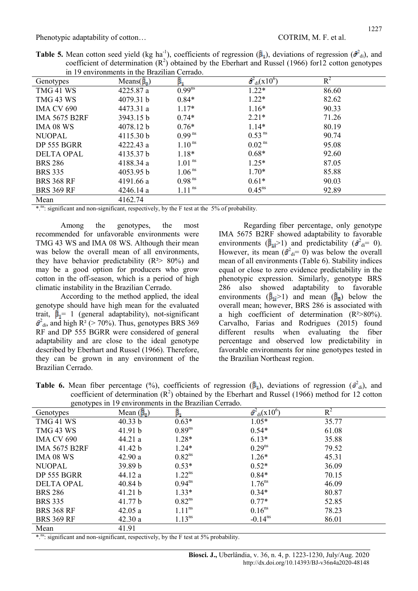| <b>Table 5.</b> Mean cotton seed yield (kg ha <sup>-1</sup> ), coefficients of regression $(\hat{\beta}_1)$ , deviations of regression $(\hat{\beta}_d)$ , and |  |
|----------------------------------------------------------------------------------------------------------------------------------------------------------------|--|
| coefficient of determination $(R^2)$ obtained by the Eberhart and Russel (1966) for 12 cotton genotypes                                                        |  |
| in 19 environments in the Brazilian Cerrado.                                                                                                                   |  |

|                      | ш тэ ентношкошо ш ию втадшан сепадо. |                      |                                                              |       |  |
|----------------------|--------------------------------------|----------------------|--------------------------------------------------------------|-------|--|
| Genotypes            | Means $(\vec{\beta}_0)$              | ß,                   | $\frac{\partial^2}{\partial \dot{a}^2}$ (x 10 <sup>6</sup> ) | $R^2$ |  |
| TMG 41 WS            | 4225.87 a                            | $0.99^{ns}$          | $1.22*$                                                      | 86.60 |  |
| TMG 43 WS            | 4079.31 b                            | $0.84*$              | $1.22*$                                                      | 82.62 |  |
| <b>IMA CV 690</b>    | 4473.31 a                            | $1.17*$              | $1.16*$                                                      | 90.33 |  |
| <b>IMA 5675 B2RF</b> | 3943.15 b                            | $0.74*$              | $2.21*$                                                      | 71.26 |  |
| IMA 08 WS            | 4078.12 b                            | $0.76*$              | $1.14*$                                                      | 80.19 |  |
| <b>NUOPAL</b>        | 4115.30 b                            | $0.99^{ns}$          | 0.53 <sup>ns</sup>                                           | 90.74 |  |
| DP 555 BGRR          | 4222.43a                             | 1.10 <sup>ns</sup>   | 0.02 <sup>ns</sup>                                           | 95.08 |  |
| <b>DELTA OPAL</b>    | 4135.37 b                            | $1.18*$              | $0.68*$                                                      | 92.60 |  |
| <b>BRS 286</b>       | 4188.34 a                            | $1.01$ <sup>ns</sup> | $1.25*$                                                      | 87.05 |  |
| <b>BRS 335</b>       | 4053.95 b                            | 1.06 <sup>ns</sup>   | $1.70*$                                                      | 85.88 |  |
| <b>BRS 368 RF</b>    | 4191.66 a                            | $0.98$ <sup>ns</sup> | $0.61*$                                                      | 90.03 |  |
| <b>BRS 369 RF</b>    | 4246.14 a                            | $1.11$ <sup>ns</sup> | $0.45^{\text{ns}}$                                           | 92.89 |  |
| Mean                 | 4162.74                              |                      |                                                              |       |  |

\*.<sup>ns</sup>: significant and non-significant, respectively, by the F test at the 5% of probability.

Among the genotypes, the most recommended for unfavorable environments were TMG 43 WS and IMA 08 WS. Although their mean was below the overall mean of all environments, they have behavior predictability  $(R<sup>2</sup> > 80%)$  and may be a good option for producers who grow cotton in the off-season, which is a period of high climatic instability in the Brazilian Cerrado.

According to the method applied, the ideal genotype should have high mean for the evaluated trait,  $\hat{\beta}_1 = 1$  (general adaptability), not-significant  $R^2_{\text{di}}$ , and high R<sup>2</sup> (> 70%). Thus, genotypes BRS 369 RF and DP 555 BGRR were considered of general adaptability and are close to the ideal genotype described by Eberhart and Russel (1966). Therefore, they can be grown in any environment of the Brazilian Cerrado.

Regarding fiber percentage, only genotype IMA 5675 B2RF showed adaptability to favorable environments ( $\hat{\beta}_{\text{II}}$ >1) and predictability ( $\hat{\sigma}_{\text{di}}^2$ = 0). However, its mean  $(\hat{\sigma}^2_{\text{di}}= 0)$  was below the overall mean of all environments (Table 6). Stability indices equal or close to zero evidence predictability in the phenotypic expression. Similarly, genotype BRS 286 also showed adaptability to favorable environments  $(\hat{\beta}_1 > 1)$  and mean  $(\hat{\beta}_2)$  below the overall mean; however, BRS 286 is associated with a high coefficient of determination  $(R^2>80\%)$ . Carvalho, Farias and Rodrigues (2015) found different results when evaluating the fiber percentage and observed low predictability in favorable environments for nine genotypes tested in the Brazilian Northeast region.

Table 6. Mean fiber percentage (%), coefficients of regression ( $\beta_1$ ), deviations of regression ( $\hat{\sigma}_{di}^2$ ), and coefficient of determination  $(R^2)$  obtained by the Eberhart and Russel (1966) method for 12 cotton genotypes in 19 environments in the Brazilian Cerrado.

| $5^{\circ}$ holds be the $12^{\circ}$ |                        |                      |                                          |       |
|---------------------------------------|------------------------|----------------------|------------------------------------------|-------|
| Genotypes                             | Mean $(\vec{\beta}_0)$ | $\hat{\beta}_1$      | $\overline{\sigma^2_{di}(\text{x}10^6)}$ | $R^2$ |
| TMG 41 WS                             | 40.33 b                | $0.63*$              | $1.05*$                                  | 35.77 |
| TMG 43 WS                             | 41.91 b                | $0.89^{ns}$          | $0.54*$                                  | 61.08 |
| <b>IMA CV 690</b>                     | 44.21 a                | $1.28*$              | $6.13*$                                  | 35.88 |
| <b>IMA 5675 B2RF</b>                  | 41.42 b                | $1.24*$              | $0.29^{ns}$                              | 79.52 |
| <b>IMA 08 WS</b>                      | 42.90 a                | $0.82^{ns}$          | $1.26*$                                  | 45.31 |
| <b>NUOPAL</b>                         | 39.89 b                | $0.53*$              | $0.52*$                                  | 36.09 |
| DP 555 BGRR                           | 44.12 a                | $1.22^{ns}$          | $0.84*$                                  | 70.15 |
| <b>DELTA OPAL</b>                     | 40.84 b                | $0.94^{ns}$          | $1.76^{ns}$                              | 46.09 |
| <b>BRS 286</b>                        | 41.21 b                | $1.33*$              | $0.34*$                                  | 80.87 |
| <b>BRS 335</b>                        | 41.77 b                | $0.82^{ns}$          | $0.77*$                                  | 52.85 |
| <b>BRS 368 RF</b>                     | 42.05a                 | $1.11$ <sup>ns</sup> | $0.16^{ns}$                              | 78.23 |
| <b>BRS 369 RF</b>                     | 42.30a                 | $1.13^{ns}$          | $-0.14^{\text{ns}}$                      | 86.01 |
| Mean                                  | 41.91                  |                      |                                          |       |

\*.<sup>ns</sup>: significant and non-significant, respectively, by the F test at 5% probability.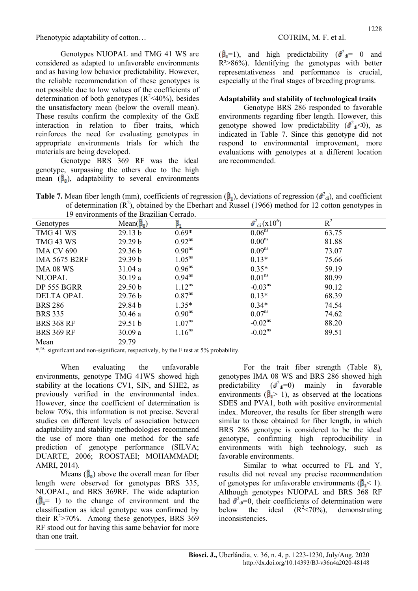Genotypes NUOPAL and TMG 41 WS are considered as adapted to unfavorable environments and as having low behavior predictability. However, the reliable recommendation of these genotypes is not possible due to low values of the coefficients of determination of both genotypes  $(R^2<40\%)$ , besides the unsatisfactory mean (below the overall mean). These results confirm the complexity of the GxE interaction in relation to fiber traits, which reinforces the need for evaluating genotypes in appropriate environments trials for which the materials are being developed.

Genotype BRS 369 RF was the ideal genotype, surpassing the others due to the high mean  $(\hat{\beta}_0)$ , adaptability to several environments

 $(\hat{\beta}_1=1)$ , and high predictability  $(\hat{\sigma}^2_{\rm di}=-0)$  and  $R^2 > 86\%$ ). Identifying the genotypes with better representativeness and performance is crucial, especially at the final stages of breeding programs.

# Adaptability and stability of technological traits

Genotype BRS 286 responded to favorable environments regarding fiber length. However, this genotype showed low predictability  $(\hat{\sigma}^2_{\text{di}}<0)$ , as indicated in Table 7. Since this genotype did not respond to environmental improvement, more evaluations with genotypes at a different location are recommended.

Table 7. Mean fiber length (mm), coefficients of regression ( $\hat{\beta}_1$ ), deviations of regression ( $\hat{\sigma}^2$ <sub>di</sub>), and coefficient of determination  $(R^2)$ , obtained by the Eberhart and Russel (1966) method for 12 cotton genotypes in 19 environments of the Brazilian Cerrado.

|                      | 19 Chvilomnčins of the Diazinal Centauo. |                    |                              |       |  |
|----------------------|------------------------------------------|--------------------|------------------------------|-------|--|
| Genotypes            | $Mean(\vec{\beta}_0)$                    | ß,                 | $\hat{\sigma}_{di}^2(x10^6)$ | $R^2$ |  |
| TMG 41 WS            | 29.13 b                                  | $0.69*$            | 0.06 <sup>ns</sup>           | 63.75 |  |
| TMG 43 WS            | 29.29 b                                  | $0.92^{ns}$        | 0.00 <sup>ns</sup>           | 81.88 |  |
| <b>IMA CV 690</b>    | 29.36 b                                  | 0.90 <sup>ns</sup> | 0.09 <sup>ns</sup>           | 73.07 |  |
| <b>IMA 5675 B2RF</b> | 29.39 b                                  | 1.05 <sup>ns</sup> | $0.13*$                      | 75.66 |  |
| <b>IMA 08 WS</b>     | 31.04a                                   | 0.96 <sup>ns</sup> | $0.35*$                      | 59.19 |  |
| <b>NUOPAL</b>        | 30.19a                                   | $0.94^{ns}$        | 0.01 <sup>ns</sup>           | 80.99 |  |
| DP 555 BGRR          | 29.50 <sub>b</sub>                       | $1.12^{ns}$        | $-0.03ns$                    | 90.12 |  |
| <b>DELTA OPAL</b>    | 29.76 b                                  | $0.87^{ns}$        | $0.13*$                      | 68.39 |  |
| <b>BRS 286</b>       | 29.84 b                                  | $1.35*$            | $0.34*$                      | 74.54 |  |
| <b>BRS 335</b>       | 30.46a                                   | 0.90 <sup>ns</sup> | $0.07^{ns}$                  | 74.62 |  |
| <b>BRS 368 RF</b>    | 29.51 b                                  | 1.07 <sup>ns</sup> | $-0.02ns$                    | 88.20 |  |
| <b>BRS 369 RF</b>    | 30.09a                                   | 1.16 <sup>ns</sup> | $-0.02ns$                    | 89.51 |  |
| Mean                 | 29.79                                    |                    |                              |       |  |

\*.<sup>ns</sup>: significant and non-significant, respectively, by the F test at 5% probability.

When evaluating the unfavorable environments, genotype TMG 41WS showed high stability at the locations CV1, SIN, and SHE2, as previously verified in the environmental index. However, since the coefficient of determination is below 70%, this information is not precise. Several studies on different levels of association between adaptability and stability methodologies recommend the use of more than one method for the safe prediction of genotype performance (SILVA; DUARTE, 2006; ROOSTAEI; MOHAMMADI; AMRI, 2014).

Means  $(\hat{\beta}_n)$  above the overall mean for fiber length were observed for genotypes BRS 335, NUOPAL, and BRS 369RF. The wide adaptation  $(\hat{\beta}_1 = 1)$  to the change of environment and the classification as ideal genotype was confirmed by their  $R^2 > 70\%$ . Among these genotypes, BRS 369 RF stood out for having this same behavior for more than one trait.

For the trait fiber strength (Table 8), genotypes IMA 08 WS and BRS 286 showed high predictability  $(\hat{\sigma}_{di}=0)$  mainly in favorable environments ( $\hat{\beta}_1$ > 1), as observed at the locations SDES and PVA1, both with positive environmental index. Moreover, the results for fiber strength were similar to those obtained for fiber length, in which BRS 286 genotype is considered to be the ideal genotype, confirming high reproducibility in environments with high technology, such as favorable environments.

Similar to what occurred to FL and Y, results did not reveal any precise recommendation of genotypes for unfavorable environments  $(\mathbf{B} \leq 1)$ . Although genotypes NUOPAL and BRS 368 RF had  $\hat{\sigma}_{di}^2$ =0, their coefficients of determination were below the ideal  $(R^2 < 70\%)$ , demonstrating inconsistencies.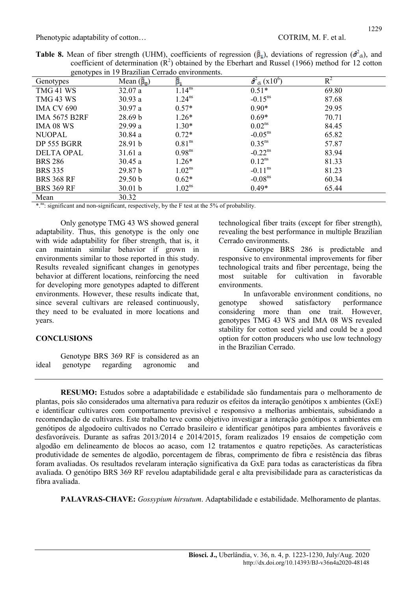|  | <b>Table 8.</b> Mean of fiber strength (UHM), coefficients of regression $(\hat{\beta}_1)$ , deviations of regression $(\hat{\beta}_d)$ , and |  |  |  |  |
|--|-----------------------------------------------------------------------------------------------------------------------------------------------|--|--|--|--|
|  | coefficient of determination $(R^2)$ obtained by the Eberhart and Russel (1966) method for 12 cotton                                          |  |  |  |  |
|  | genotypes in 19 Brazilian Cerrado environments.                                                                                               |  |  |  |  |

|                      |                        | genotypes in 19 Drazilian Certado environments. |                                            |       |  |
|----------------------|------------------------|-------------------------------------------------|--------------------------------------------|-------|--|
| Genotypes            | Mean $(\vec{\beta}_0)$ | $\widehat{\boldsymbol{\beta}}_1$                | $\theta^2_{\text{di}}$ (x10 <sup>6</sup> ) | $R^2$ |  |
| TMG 41 WS            | 32.07a                 | $1.14^{ns}$                                     | $0.51*$                                    | 69.80 |  |
| TMG 43 WS            | 30.93a                 | $1.24^{ns}$                                     | $-0.15^{ns}$                               | 87.68 |  |
| <b>IMA CV 690</b>    | 30.97 a                | $0.57*$                                         | $0.90*$                                    | 29.95 |  |
| <b>IMA 5675 B2RF</b> | 28.69 b                | $1.26*$                                         | $0.69*$                                    | 70.71 |  |
| <b>IMA 08 WS</b>     | 29.99 a                | $1.30*$                                         | 0.02 <sup>ns</sup>                         | 84.45 |  |
| <b>NUOPAL</b>        | 30.84 a                | $0.72*$                                         | $-0.05^{\text{ns}}$                        | 65.82 |  |
| DP 555 BGRR          | 28.91 b                | 0.81 <sup>ns</sup>                              | $0.35^{\text{ns}}$                         | 57.87 |  |
| <b>DELTA OPAL</b>    | 31.61a                 | 0.98 <sup>ns</sup>                              | $-0.22$ <sup>ns</sup>                      | 83.94 |  |
| <b>BRS 286</b>       | 30.45a                 | $1.26*$                                         | $0.12^{ns}$                                | 81.33 |  |
| <b>BRS 335</b>       | 29.87 <sub>b</sub>     | $1.02^{ns}$                                     | $-0.11^{\text{ns}}$                        | 81.23 |  |
| <b>BRS 368 RF</b>    | 29.50 b                | $0.62*$                                         | $-0.08ns$                                  | 60.34 |  |
| <b>BRS 369 RF</b>    | 30.01 b                | $1.02^{ns}$                                     | $0.49*$                                    | 65.44 |  |

Mean 30.32

\*.<sup>ns</sup>: significant and non-significant, respectively, by the F test at the 5% of probability.

Only genotype TMG 43 WS showed general adaptability. Thus, this genotype is the only one with wide adaptability for fiber strength, that is, it can maintain similar behavior if grown in environments similar to those reported in this study. Results revealed significant changes in genotypes behavior at different locations, reinforcing the need for developing more genotypes adapted to different environments. However, these results indicate that, since several cultivars are released continuously, they need to be evaluated in more locations and years.

## **CONCLUSIONS**

Genotype BRS 369 RF is considered as an ideal genotype regarding agronomic and technological fiber traits (except for fiber strength), revealing the best performance in multiple Brazilian Cerrado environments.

Genotype BRS 286 is predictable and responsive to environmental improvements for fiber technological traits and fiber percentage, being the most suitable for cultivation in favorable environments.

In unfavorable environment conditions, no genotype showed satisfactory performance considering more than one trait. However, genotypes TMG 43 WS and IMA 08 WS revealed stability for cotton seed yield and could be a good option for cotton producers who use low technology in the Brazilian Cerrado.

RESUMO: Estudos sobre a adaptabilidade e estabilidade são fundamentais para o melhoramento de plantas, pois são considerados uma alternativa para reduzir os efeitos da interação genótipos x ambientes (GxE) e identificar cultivares com comportamento previsível e responsivo a melhorias ambientais, subsidiando a recomendação de cultivares. Este trabalho teve como objetivo investigar a interação genótipos x ambientes em genótipos de algodoeiro cultivados no Cerrado brasileiro e identificar genótipos para ambientes favoráveis e desfavoráveis. Durante as safras 2013/2014 e 2014/2015, foram realizados 19 ensaios de competição com algodão em delineamento de blocos ao acaso, com 12 tratamentos e quatro repetições. As características produtividade de sementes de algodão, porcentagem de fibras, comprimento de fibra e resistência das fibras foram avaliadas. Os resultados revelaram interação significativa da GxE para todas as características da fibra avaliada. O genótipo BRS 369 RF revelou adaptabilidade geral e alta previsibilidade para as características da fibra avaliada.

PALAVRAS-CHAVE: Gossypium hirsutum. Adaptabilidade e estabilidade. Melhoramento de plantas.